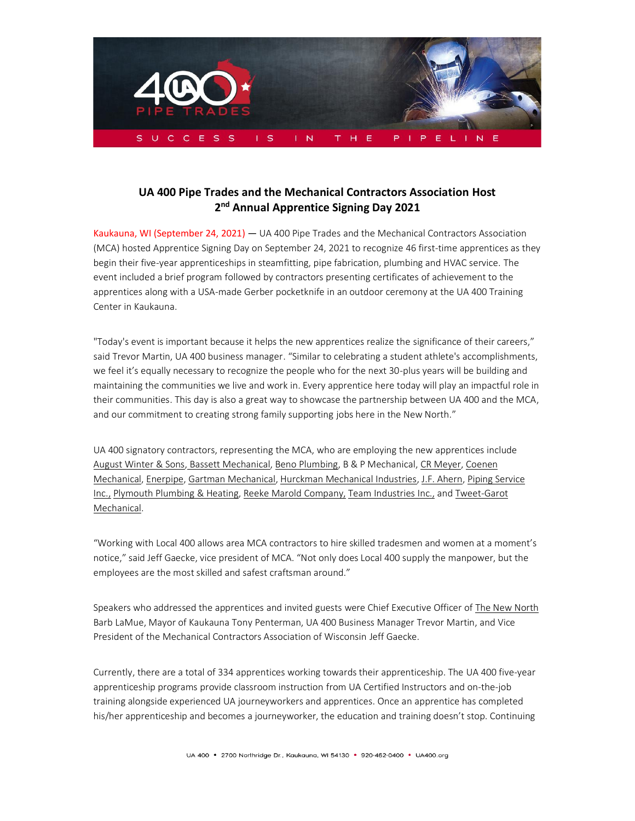

## **UA 400 Pipe Trades and the Mechanical Contractors Association Host 2 nd Annual Apprentice Signing Day 2021**

Kaukauna, WI (September 24, 2021) — UA 400 Pipe Trades and the Mechanical Contractors Association (MCA) hosted Apprentice Signing Day on September 24, 2021 to recognize 46 first-time apprentices as they begin their five-year apprenticeships in steamfitting, pipe fabrication, plumbing and HVAC service. The event included a brief program followed by contractors presenting certificates of achievement to the apprentices along with a USA-made Gerber pocketknife in an outdoor ceremony at the UA 400 Training Center in Kaukauna.

"Today's event is important because it helps the new apprentices realize the significance of their careers," said Trevor Martin, UA 400 business manager. "Similar to celebrating a student athlete's accomplishments, we feel it's equally necessary to recognize the people who for the next 30-plus years will be building and maintaining the communities we live and work in. Every apprentice here today will play an impactful role in their communities. This day is also a great way to showcase the partnership between UA 400 and the MCA, and our commitment to creating strong family supporting jobs here in the New North."

UA 400 signatory contractors, representing the MCA, who are employing the new apprentices include [August Winter & Sons,](https://www.augustwinter.com/) [Bassett Mechanical,](https://www.bassettmechanical.com/) [Beno Plumbing,](https://www.benoplumbing.com/) B & P Mechanical[, CR Meyer,](https://crmeyer.com/) [Coenen](https://coenenmechanical.com/)  [Mechanical,](https://coenenmechanical.com/) [Enerpipe,](https://enerpipeinc.com/) [Gartman Mechanical,](https://www.gartmanmechanical.com/) [Hurckman Mechanical Industries,](https://www.hurckman.com/) [J.F. Ahern, Piping Service](https://www.jfahern.com/) [Inc.,](https://www.jfahern.com/) [Plymouth Plumbing](https://plymouthplumbers.com/) & Heating[, Reeke Marold](http://www.reeke-marold.com/) Company, [Team Industries](https://www.teamind.com/) Inc., an[d Tweet-Garot](https://tweetgarot.com/)  [Mechanical.](https://tweetgarot.com/)

"Working with Local 400 allows area MCA contractors to hire skilled tradesmen and women at a moment's notice," said Jeff Gaecke, vice president of MCA. "Not only does Local 400 supply the manpower, but the employees are the most skilled and safest craftsman around."

Speakers who addressed the apprentices and invited guests were Chief Executive Officer of [The New North](https://www.thenewnorth.com/) Barb LaMue, Mayor of Kaukauna Tony Penterman, UA 400 Business Manager Trevor Martin, and Vice President of the Mechanical Contractors Association of Wisconsin Jeff Gaecke.

Currently, there are a total of 334 apprentices working towards their apprenticeship. The UA 400 five-year apprenticeship programs provide classroom instruction from UA Certified Instructors and on-the-job training alongside experienced UA journeyworkers and apprentices. Once an apprentice has completed his/her apprenticeship and becomes a journeyworker, the education and training doesn't stop. Continuing